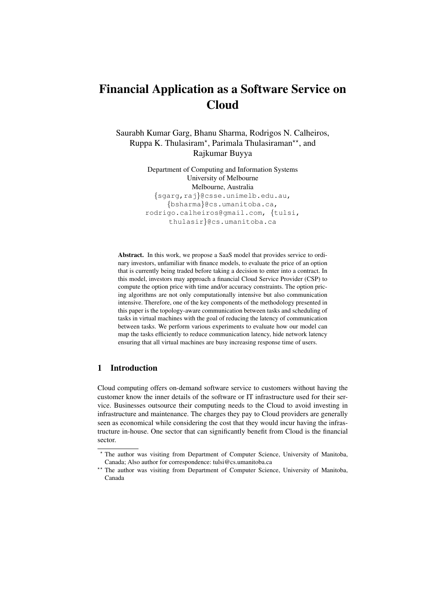# Financial Application as a Software Service on **Cloud**

Saurabh Kumar Garg, Bhanu Sharma, Rodrigos N. Calheiros, Ruppa K. Thulasiram<sup>\*</sup>, Parimala Thulasiraman<sup>\*\*</sup>, and Rajkumar Buyya

> Department of Computing and Information Systems University of Melbourne Melbourne, Australia {sgarg,raj}@csse.unimelb.edu.au, {bsharma}@cs.umanitoba.ca, rodrigo.calheiros@gmail.com, {tulsi, thulasir}@cs.umanitoba.ca

Abstract. In this work, we propose a SaaS model that provides service to ordinary investors, unfamiliar with finance models, to evaluate the price of an option that is currently being traded before taking a decision to enter into a contract. In this model, investors may approach a financial Cloud Service Provider (CSP) to compute the option price with time and/or accuracy constraints. The option pricing algorithms are not only computationally intensive but also communication intensive. Therefore, one of the key components of the methodology presented in this paper is the topology-aware communication between tasks and scheduling of tasks in virtual machines with the goal of reducing the latency of communication between tasks. We perform various experiments to evaluate how our model can map the tasks efficiently to reduce communication latency, hide network latency ensuring that all virtual machines are busy increasing response time of users.

# 1 Introduction

Cloud computing offers on-demand software service to customers without having the customer know the inner details of the software or IT infrastructure used for their service. Businesses outsource their computing needs to the Cloud to avoid investing in infrastructure and maintenance. The charges they pay to Cloud providers are generally seen as economical while considering the cost that they would incur having the infrastructure in-house. One sector that can significantly benefit from Cloud is the financial sector.

<sup>?</sup> The author was visiting from Department of Computer Science, University of Manitoba, Canada; Also author for correspondence: tulsi@cs.umanitoba.ca

<sup>\*\*</sup> The author was visiting from Department of Computer Science, University of Manitoba, Canada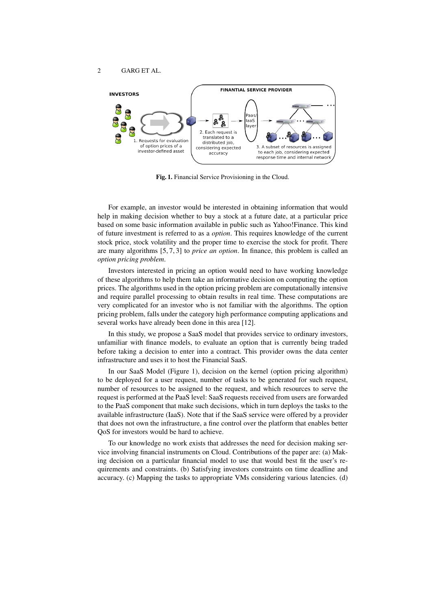

Fig. 1. Financial Service Provisioning in the Cloud.

For example, an investor would be interested in obtaining information that would help in making decision whether to buy a stock at a future date, at a particular price based on some basic information available in public such as Yahoo!Finance. This kind of future investment is referred to as a *option*. This requires knowledge of the current stock price, stock volatility and the proper time to exercise the stock for profit. There are many algorithms [5, 7, 3] to *price an option*. In finance, this problem is called an *option pricing problem*.

Investors interested in pricing an option would need to have working knowledge of these algorithms to help them take an informative decision on computing the option prices. The algorithms used in the option pricing problem are computationally intensive and require parallel processing to obtain results in real time. These computations are very complicated for an investor who is not familiar with the algorithms. The option pricing problem, falls under the category high performance computing applications and several works have already been done in this area [12].

In this study, we propose a SaaS model that provides service to ordinary investors, unfamiliar with finance models, to evaluate an option that is currently being traded before taking a decision to enter into a contract. This provider owns the data center infrastructure and uses it to host the Financial SaaS.

In our SaaS Model (Figure 1), decision on the kernel (option pricing algorithm) to be deployed for a user request, number of tasks to be generated for such request, number of resources to be assigned to the request, and which resources to serve the request is performed at the PaaS level: SaaS requests received from users are forwarded to the PaaS component that make such decisions, which in turn deploys the tasks to the available infrastructure (IaaS). Note that if the SaaS service were offered by a provider that does not own the infrastructure, a fine control over the platform that enables better QoS for investors would be hard to achieve.

To our knowledge no work exists that addresses the need for decision making service involving financial instruments on Cloud. Contributions of the paper are: (a) Making decision on a particular financial model to use that would best fit the user's requirements and constraints. (b) Satisfying investors constraints on time deadline and accuracy. (c) Mapping the tasks to appropriate VMs considering various latencies. (d)

2 GARG ET AL.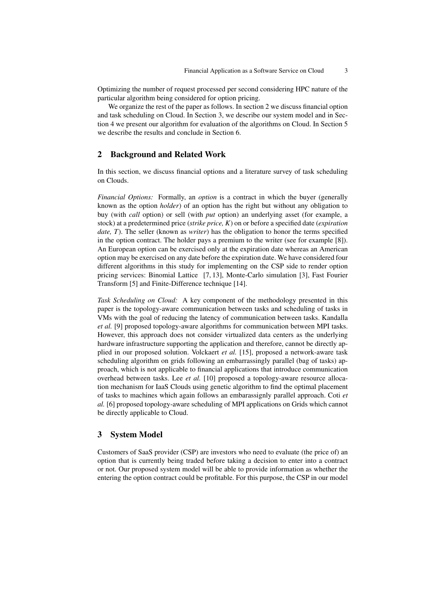Optimizing the number of request processed per second considering HPC nature of the particular algorithm being considered for option pricing.

We organize the rest of the paper as follows. In section 2 we discuss financial option and task scheduling on Cloud. In Section 3, we describe our system model and in Section 4 we present our algorithm for evaluation of the algorithms on Cloud. In Section 5 we describe the results and conclude in Section 6.

# 2 Background and Related Work

In this section, we discuss financial options and a literature survey of task scheduling on Clouds.

*Financial Options:* Formally, an *option* is a contract in which the buyer (generally known as the option *holder*) of an option has the right but without any obligation to buy (with *call* option) or sell (with *put* option) an underlying asset (for example, a stock) at a predetermined price (*strike price, K*) on or before a specified date (*expiration date, T*). The seller (known as *writer*) has the obligation to honor the terms specified in the option contract. The holder pays a premium to the writer (see for example [8]). An European option can be exercised only at the expiration date whereas an American option may be exercised on any date before the expiration date. We have considered four different algorithms in this study for implementing on the CSP side to render option pricing services: Binomial Lattice [7, 13], Monte-Carlo simulation [3], Fast Fourier Transform [5] and Finite-Difference technique [14].

*Task Scheduling on Cloud:* A key component of the methodology presented in this paper is the topology-aware communication between tasks and scheduling of tasks in VMs with the goal of reducing the latency of communication between tasks. Kandalla *et al.* [9] proposed topology-aware algorithms for communication between MPI tasks. However, this approach does not consider virtualized data centers as the underlying hardware infrastructure supporting the application and therefore, cannot be directly applied in our proposed solution. Volckaert *et al.* [15], proposed a network-aware task scheduling algorithm on grids following an embarrassingly parallel (bag of tasks) approach, which is not applicable to financial applications that introduce communication overhead between tasks. Lee *et al.* [10] proposed a topology-aware resource allocation mechanism for IaaS Clouds using genetic algorithm to find the optimal placement of tasks to machines which again follows an embarassignly parallel approach. Coti *et al.* [6] proposed topology-aware scheduling of MPI applications on Grids which cannot be directly applicable to Cloud.

# 3 System Model

Customers of SaaS provider (CSP) are investors who need to evaluate (the price of) an option that is currently being traded before taking a decision to enter into a contract or not. Our proposed system model will be able to provide information as whether the entering the option contract could be profitable. For this purpose, the CSP in our model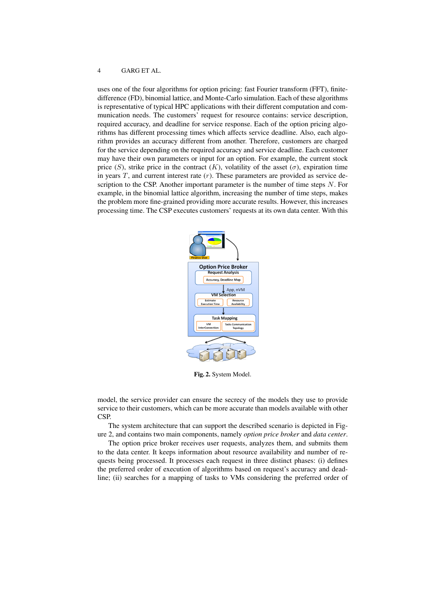uses one of the four algorithms for option pricing: fast Fourier transform (FFT), finitedifference (FD), binomial lattice, and Monte-Carlo simulation. Each of these algorithms is representative of typical HPC applications with their different computation and communication needs. The customers' request for resource contains: service description, required accuracy, and deadline for service response. Each of the option pricing algorithms has different processing times which affects service deadline. Also, each algorithm provides an accuracy different from another. Therefore, customers are charged for the service depending on the required accuracy and service deadline. Each customer may have their own parameters or input for an option. For example, the current stock price (S), strike price in the contract  $(K)$ , volatility of the asset  $(\sigma)$ , expiration time in years  $T$ , and current interest rate  $(r)$ . These parameters are provided as service description to the CSP. Another important parameter is the number of time steps  $N$ . For example, in the binomial lattice algorithm, increasing the number of time steps, makes the problem more fine-grained providing more accurate results. However, this increases processing time. The CSP executes customers' requests at its own data center. With this



Fig. 2. System Model.

model, the service provider can ensure the secrecy of the models they use to provide service to their customers, which can be more accurate than models available with other CSP.

The system architecture that can support the described scenario is depicted in Figure 2, and contains two main components, namely *option price broker* and *data center*.

The option price broker receives user requests, analyzes them, and submits them to the data center. It keeps information about resource availability and number of requests being processed. It processes each request in three distinct phases: (i) defines the preferred order of execution of algorithms based on request's accuracy and deadline; (ii) searches for a mapping of tasks to VMs considering the preferred order of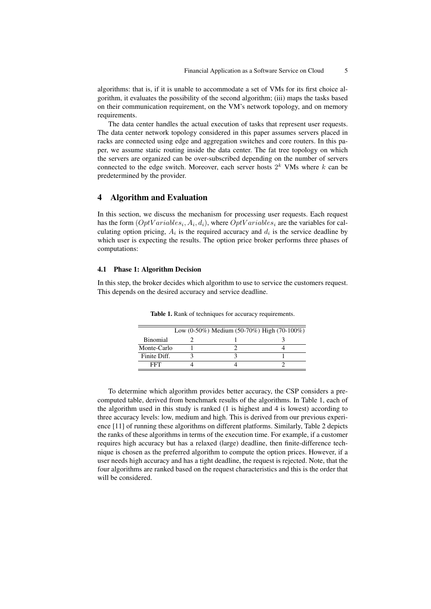algorithms: that is, if it is unable to accommodate a set of VMs for its first choice algorithm, it evaluates the possibility of the second algorithm; (iii) maps the tasks based on their communication requirement, on the VM's network topology, and on memory requirements.

The data center handles the actual execution of tasks that represent user requests. The data center network topology considered in this paper assumes servers placed in racks are connected using edge and aggregation switches and core routers. In this paper, we assume static routing inside the data center. The fat tree topology on which the servers are organized can be over-subscribed depending on the number of servers connected to the edge switch. Moreover, each server hosts  $2^k$  VMs where k can be predetermined by the provider.

## 4 Algorithm and Evaluation

In this section, we discuss the mechanism for processing user requests. Each request has the form  $(OptVariables_i, A_i, d_i)$ , where  $OptVariables_i$  are the variables for calculating option pricing,  $A_i$  is the required accuracy and  $d_i$  is the service deadline by which user is expecting the results. The option price broker performs three phases of computations:

#### 4.1 Phase 1: Algorithm Decision

In this step, the broker decides which algorithm to use to service the customers request. This depends on the desired accuracy and service deadline.

|                 | Low $(0-50\%)$ Medium $(50-70\%)$ High $(70-100\%)$ |  |
|-----------------|-----------------------------------------------------|--|
| <b>Binomial</b> |                                                     |  |
| Monte-Carlo     |                                                     |  |
| Finite Diff.    |                                                     |  |
| FFT.            |                                                     |  |

Table 1. Rank of techniques for accuracy requirements.

To determine which algorithm provides better accuracy, the CSP considers a precomputed table, derived from benchmark results of the algorithms. In Table 1, each of the algorithm used in this study is ranked (1 is highest and 4 is lowest) according to three accuracy levels: low, medium and high. This is derived from our previous experience [11] of running these algorithms on different platforms. Similarly, Table 2 depicts the ranks of these algorithms in terms of the execution time. For example, if a customer requires high accuracy but has a relaxed (large) deadline, then finite-difference technique is chosen as the preferred algorithm to compute the option prices. However, if a user needs high accuracy and has a tight deadline, the request is rejected. Note, that the four algorithms are ranked based on the request characteristics and this is the order that will be considered.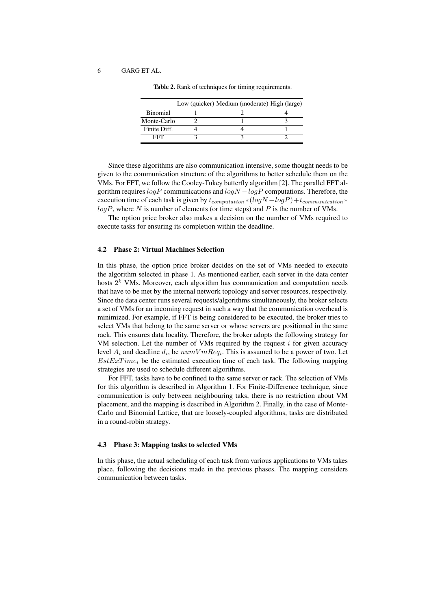|                 | Low (quicker) Medium (moderate) High (large) |  |
|-----------------|----------------------------------------------|--|
| <b>Binomial</b> |                                              |  |
| Monte-Carlo     |                                              |  |
| Finite Diff.    |                                              |  |
| EET             |                                              |  |
|                 |                                              |  |

Table 2. Rank of techniques for timing requirements.

Since these algorithms are also communication intensive, some thought needs to be given to the communication structure of the algorithms to better schedule them on the VMs. For FFT, we follow the Cooley-Tukey butterfly algorithm [2]. The parallel FFT algorithm requires  $logP$  communications and  $logN - logP$  computations. Therefore, the execution time of each task is given by  $t_{computation} * (log N - log P) + t_{communication} *$  $log P$ , where N is number of elements (or time steps) and P is the number of VMs.

The option price broker also makes a decision on the number of VMs required to execute tasks for ensuring its completion within the deadline.

## 4.2 Phase 2: Virtual Machines Selection

In this phase, the option price broker decides on the set of VMs needed to execute the algorithm selected in phase 1. As mentioned earlier, each server in the data center hosts  $2<sup>k</sup>$  VMs. Moreover, each algorithm has communication and computation needs that have to be met by the internal network topology and server resources, respectively. Since the data center runs several requests/algorithms simultaneously, the broker selects a set of VMs for an incoming request in such a way that the communication overhead is minimized. For example, if FFT is being considered to be executed, the broker tries to select VMs that belong to the same server or whose servers are positioned in the same rack. This ensures data locality. Therefore, the broker adopts the following strategy for VM selection. Let the number of VMs required by the request  $i$  for given accuracy level  $A_i$  and deadline  $d_i$ , be  $numV mReq_i$ . This is assumed to be a power of two. Let  $EstExTime_i$  be the estimated execution time of each task. The following mapping strategies are used to schedule different algorithms.

For FFT, tasks have to be confined to the same server or rack. The selection of VMs for this algorithm is described in Algorithm 1. For Finite-Difference technique, since communication is only between neighbouring taks, there is no restriction about VM placement, and the mapping is described in Algorithm 2. Finally, in the case of Monte-Carlo and Binomial Lattice, that are loosely-coupled algorithms, tasks are distributed in a round-robin strategy.

#### 4.3 Phase 3: Mapping tasks to selected VMs

In this phase, the actual scheduling of each task from various applications to VMs takes place, following the decisions made in the previous phases. The mapping considers communication between tasks.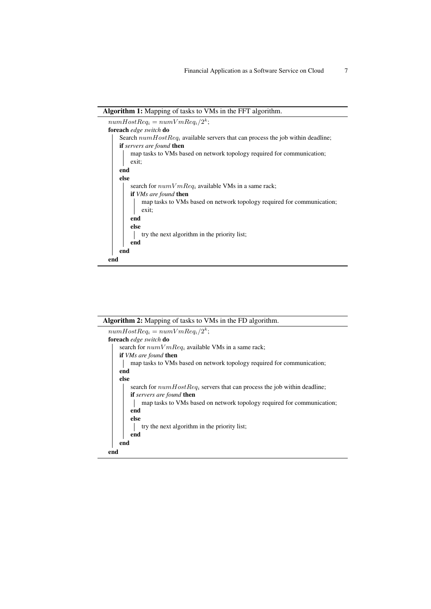



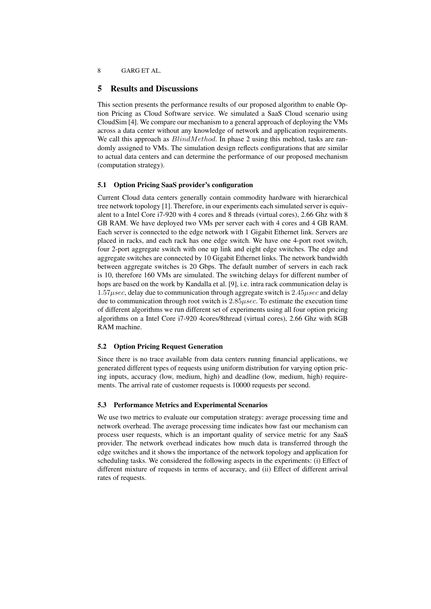#### 5 Results and Discussions

This section presents the performance results of our proposed algorithm to enable Option Pricing as Cloud Software service. We simulated a SaaS Cloud scenario using CloudSim [4]. We compare our mechanism to a general approach of deploying the VMs across a data center without any knowledge of network and application requirements. We call this approach as  $BlindMethod$ . In phase 2 using this mehtod, tasks are randomly assigned to VMs. The simulation design reflects configurations that are similar to actual data centers and can determine the performance of our proposed mechanism (computation strategy).

#### 5.1 Option Pricing SaaS provider's configuration

Current Cloud data centers generally contain commodity hardware with hierarchical tree network topology [1]. Therefore, in our experiments each simulated server is equivalent to a Intel Core i7-920 with 4 cores and 8 threads (virtual cores), 2.66 Ghz with 8 GB RAM. We have deployed two VMs per server each with 4 cores and 4 GB RAM. Each server is connected to the edge network with 1 Gigabit Ethernet link. Servers are placed in racks, and each rack has one edge switch. We have one 4-port root switch, four 2-port aggregate switch with one up link and eight edge switches. The edge and aggregate switches are connected by 10 Gigabit Ethernet links. The network bandwidth between aggregate switches is 20 Gbps. The default number of servers in each rack is 10, therefore 160 VMs are simulated. The switching delays for different number of hops are based on the work by Kandalla et al. [9], i.e. intra rack communication delay is  $1.57\mu sec$ , delay due to communication through aggregate switch is  $2.45\mu sec$  and delay due to communication through root switch is  $2.85\mu sec$ . To estimate the execution time of different algorithms we run different set of experiments using all four option pricing algorithms on a Intel Core i7-920 4cores/8thread (virtual cores), 2.66 Ghz with 8GB RAM machine.

#### 5.2 Option Pricing Request Generation

Since there is no trace available from data centers running financial applications, we generated different types of requests using uniform distribution for varying option pricing inputs, accuracy (low, medium, high) and deadline (low, medium, high) requirements. The arrival rate of customer requests is 10000 requests per second.

#### 5.3 Performance Metrics and Experimental Scenarios

We use two metrics to evaluate our computation strategy: average processing time and network overhead. The average processing time indicates how fast our mechanism can process user requests, which is an important quality of service metric for any SaaS provider. The network overhead indicates how much data is transferred through the edge switches and it shows the importance of the network topology and application for scheduling tasks. We considered the following aspects in the experiments: (i) Effect of different mixture of requests in terms of accuracy, and (ii) Effect of different arrival rates of requests.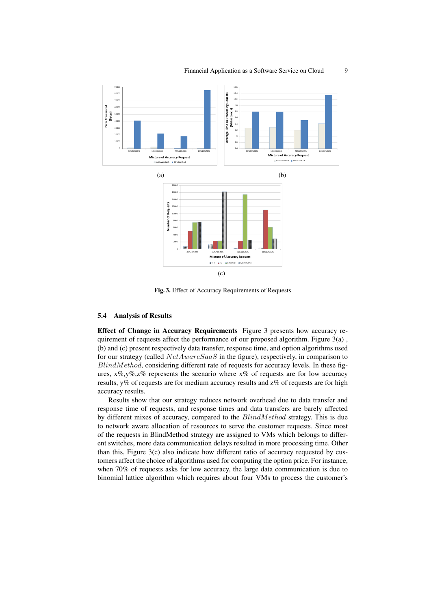

Fig. 3. Effect of Accuracy Requirements of Requests

## 5.4 Analysis of Results

Effect of Change in Accuracy Requirements Figure 3 presents how accuracy requirement of requests affect the performance of our proposed algorithm. Figure 3(a) , (b) and (c) present respectively data transfer, response time, and option algorithms used for our strategy (called  $NetAwareSaaS$  in the figure), respectively, in comparison to  $BlindMethod$ , considering different rate of requests for accuracy levels. In these figures,  $x\%, y\%, z\%$  represents the scenario where  $x\%$  of requests are for low accuracy results, y% of requests are for medium accuracy results and z% of requests are for high accuracy results.

Results show that our strategy reduces network overhead due to data transfer and response time of requests, and response times and data transfers are barely affected by different mixes of accuracy, compared to the BlindMethod strategy. This is due to network aware allocation of resources to serve the customer requests. Since most of the requests in BlindMethod strategy are assigned to VMs which belongs to different switches, more data communication delays resulted in more processing time. Other than this, Figure 3(c) also indicate how different ratio of accuracy requested by customers affect the choice of algorithms used for computing the option price. For instance, when 70% of requests asks for low accuracy, the large data communication is due to binomial lattice algorithm which requires about four VMs to process the customer's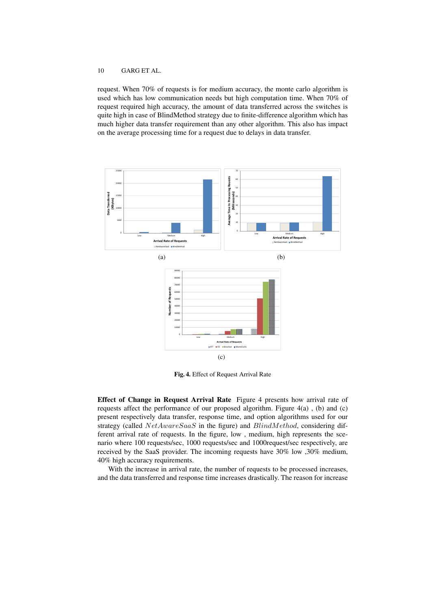request. When 70% of requests is for medium accuracy, the monte carlo algorithm is used which has low communication needs but high computation time. When 70% of request required high accuracy, the amount of data transferred across the switches is quite high in case of BlindMethod strategy due to finite-difference algorithm which has much higher data transfer requirement than any other algorithm. This also has impact on the average processing time for a request due to delays in data transfer.



Fig. 4. Effect of Request Arrival Rate

Effect of Change in Request Arrival Rate Figure 4 presents how arrival rate of requests affect the performance of our proposed algorithm. Figure  $4(a)$ , (b) and (c) present respectively data transfer, response time, and option algorithms used for our strategy (called  $NetAwareSaaS$  in the figure) and  $BlindMethod$ , considering different arrival rate of requests. In the figure, low , medium, high represents the scenario where 100 requests/sec, 1000 requests/sec and 1000request/sec respectively, are received by the SaaS provider. The incoming requests have 30% low ,30% medium, 40% high accuracy requirements.

With the increase in arrival rate, the number of requests to be processed increases, and the data transferred and response time increases drastically. The reason for increase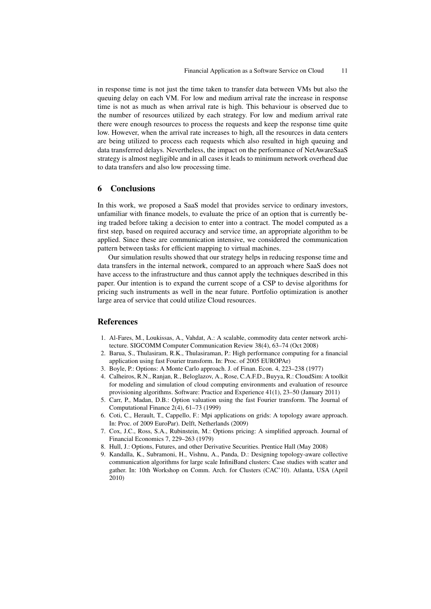in response time is not just the time taken to transfer data between VMs but also the queuing delay on each VM. For low and medium arrival rate the increase in response time is not as much as when arrival rate is high. This behaviour is observed due to the number of resources utilized by each strategy. For low and medium arrival rate there were enough resources to process the requests and keep the response time quite low. However, when the arrival rate increases to high, all the resources in data centers are being utilized to process each requests which also resulted in high queuing and data transferred delays. Nevertheless, the impact on the performance of NetAwareSaaS strategy is almost negligible and in all cases it leads to minimum network overhead due to data transfers and also low processing time.

#### 6 Conclusions

In this work, we proposed a SaaS model that provides service to ordinary investors, unfamiliar with finance models, to evaluate the price of an option that is currently being traded before taking a decision to enter into a contract. The model computed as a first step, based on required accuracy and service time, an appropriate algorithm to be applied. Since these are communication intensive, we considered the communication pattern between tasks for efficient mapping to virtual machines.

Our simulation results showed that our strategy helps in reducing response time and data transfers in the internal network, compared to an approach where SaaS does not have access to the infrastructure and thus cannot apply the techniques described in this paper. Our intention is to expand the current scope of a CSP to devise algorithms for pricing such instruments as well in the near future. Portfolio optimization is another large area of service that could utilize Cloud resources.

## References

- 1. Al-Fares, M., Loukissas, A., Vahdat, A.: A scalable, commodity data center network architecture. SIGCOMM Computer Communication Review 38(4), 63–74 (Oct 2008)
- 2. Barua, S., Thulasiram, R.K., Thulasiraman, P.: High performance computing for a financial application using fast Fourier transform. In: Proc. of 2005 EUROPAr)
- 3. Boyle, P.: Options: A Monte Carlo approach. J. of Finan. Econ. 4, 223–238 (1977)
- 4. Calheiros, R.N., Ranjan, R., Beloglazov, A., Rose, C.A.F.D., Buyya, R.: CloudSim: A toolkit for modeling and simulation of cloud computing environments and evaluation of resource provisioning algorithms. Software: Practice and Experience 41(1), 23–50 (January 2011)
- 5. Carr, P., Madan, D.B.: Option valuation using the fast Fourier transform. The Journal of Computational Finance 2(4), 61–73 (1999)
- 6. Coti, C., Herault, T., Cappello, F.: Mpi applications on grids: A topology aware approach. In: Proc. of 2009 EuroPar). Delft, Netherlands (2009)
- 7. Cox, J.C., Ross, S.A., Rubinstein, M.: Options pricing: A simplified approach. Journal of Financial Economics 7, 229–263 (1979)
- 8. Hull, J.: Options, Futures, and other Derivative Securities. Prentice Hall (May 2008)
- 9. Kandalla, K., Subramoni, H., Vishnu, A., Panda, D.: Designing topology-aware collective communication algorithms for large scale InfiniBand clusters: Case studies with scatter and gather. In: 10th Workshop on Comm. Arch. for Clusters (CAC'10). Atlanta, USA (April 2010)